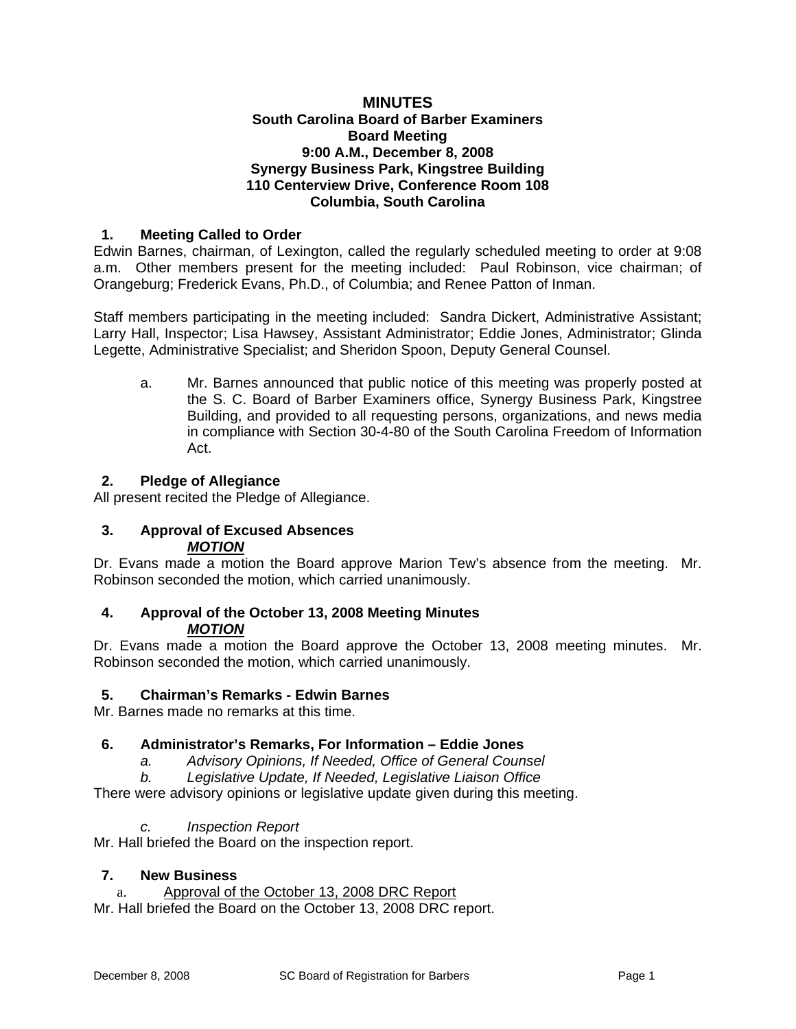### **MINUTES South Carolina Board of Barber Examiners Board Meeting 9:00 A.M., December 8, 2008 Synergy Business Park, Kingstree Building 110 Centerview Drive, Conference Room 108 Columbia, South Carolina**

## **1. Meeting Called to Order**

Edwin Barnes, chairman, of Lexington, called the regularly scheduled meeting to order at 9:08 a.m. Other members present for the meeting included: Paul Robinson, vice chairman; of Orangeburg; Frederick Evans, Ph.D., of Columbia; and Renee Patton of Inman.

Staff members participating in the meeting included: Sandra Dickert, Administrative Assistant; Larry Hall, Inspector; Lisa Hawsey, Assistant Administrator; Eddie Jones, Administrator; Glinda Legette, Administrative Specialist; and Sheridon Spoon, Deputy General Counsel.

a. Mr. Barnes announced that public notice of this meeting was properly posted at the S. C. Board of Barber Examiners office, Synergy Business Park, Kingstree Building, and provided to all requesting persons, organizations, and news media in compliance with Section 30-4-80 of the South Carolina Freedom of Information Act.

### **2. Pledge of Allegiance**

All present recited the Pledge of Allegiance.

#### **3. Approval of Excused Absences**  *MOTION*

Dr. Evans made a motion the Board approve Marion Tew's absence from the meeting. Mr. Robinson seconded the motion, which carried unanimously.

### **4. Approval of the October 13, 2008 Meeting Minutes**  *MOTION*

Dr. Evans made a motion the Board approve the October 13, 2008 meeting minutes. Mr. Robinson seconded the motion, which carried unanimously.

#### **5. Chairman's Remarks - Edwin Barnes**

Mr. Barnes made no remarks at this time.

#### **6. Administrator's Remarks, For Information – Eddie Jones**

- *a. Advisory Opinions, If Needed, Office of General Counsel*
- *b. Legislative Update, If Needed, Legislative Liaison Office*

There were advisory opinions or legislative update given during this meeting.

#### *c. Inspection Report*

Mr. Hall briefed the Board on the inspection report.

#### **7. New Business**

a. Approval of the October 13, 2008 DRC Report

Mr. Hall briefed the Board on the October 13, 2008 DRC report.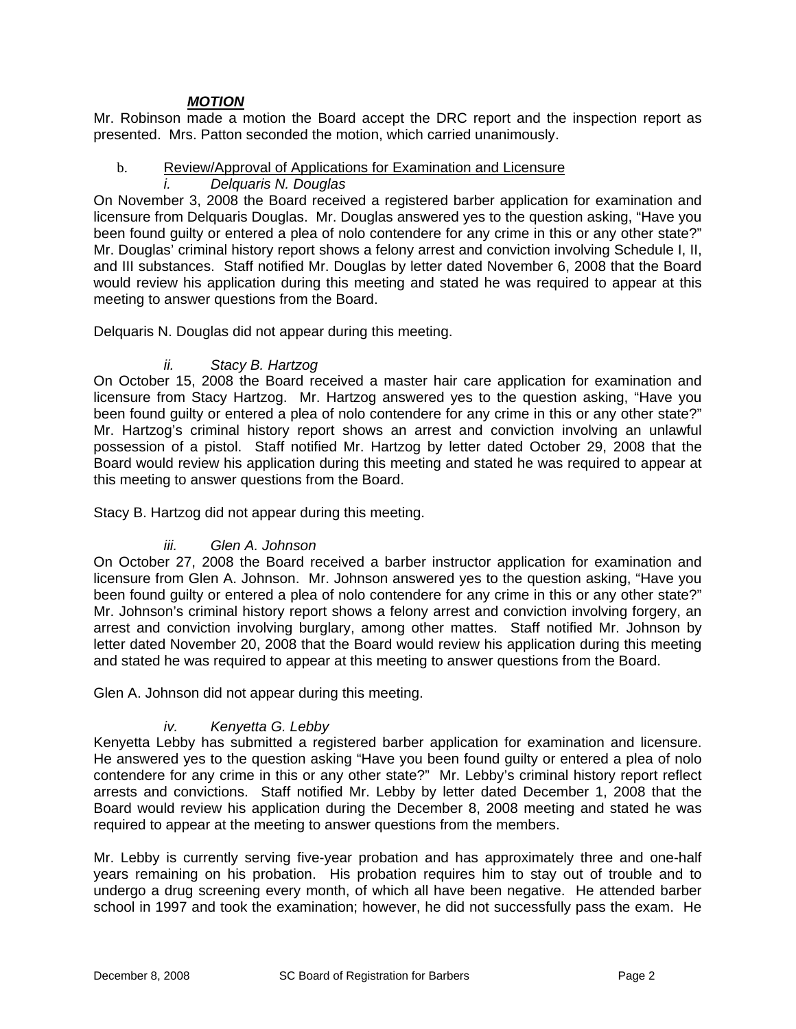## *MOTION*

Mr. Robinson made a motion the Board accept the DRC report and the inspection report as presented. Mrs. Patton seconded the motion, which carried unanimously.

# b. Review/Approval of Applications for Examination and Licensure

*i. Delquaris N. Douglas* 

On November 3, 2008 the Board received a registered barber application for examination and licensure from Delquaris Douglas. Mr. Douglas answered yes to the question asking, "Have you been found quilty or entered a plea of nolo contendere for any crime in this or any other state?" Mr. Douglas' criminal history report shows a felony arrest and conviction involving Schedule I, II, and III substances. Staff notified Mr. Douglas by letter dated November 6, 2008 that the Board would review his application during this meeting and stated he was required to appear at this meeting to answer questions from the Board.

Delquaris N. Douglas did not appear during this meeting.

## *ii. Stacy B. Hartzog*

On October 15, 2008 the Board received a master hair care application for examination and licensure from Stacy Hartzog. Mr. Hartzog answered yes to the question asking, "Have you been found quilty or entered a plea of nolo contendere for any crime in this or any other state?" Mr. Hartzog's criminal history report shows an arrest and conviction involving an unlawful possession of a pistol. Staff notified Mr. Hartzog by letter dated October 29, 2008 that the Board would review his application during this meeting and stated he was required to appear at this meeting to answer questions from the Board.

Stacy B. Hartzog did not appear during this meeting.

## *iii. Glen A. Johnson*

On October 27, 2008 the Board received a barber instructor application for examination and licensure from Glen A. Johnson. Mr. Johnson answered yes to the question asking, "Have you been found quilty or entered a plea of nolo contendere for any crime in this or any other state?" Mr. Johnson's criminal history report shows a felony arrest and conviction involving forgery, an arrest and conviction involving burglary, among other mattes. Staff notified Mr. Johnson by letter dated November 20, 2008 that the Board would review his application during this meeting and stated he was required to appear at this meeting to answer questions from the Board.

Glen A. Johnson did not appear during this meeting.

## *iv. Kenyetta G. Lebby*

Kenyetta Lebby has submitted a registered barber application for examination and licensure. He answered yes to the question asking "Have you been found guilty or entered a plea of nolo contendere for any crime in this or any other state?" Mr. Lebby's criminal history report reflect arrests and convictions. Staff notified Mr. Lebby by letter dated December 1, 2008 that the Board would review his application during the December 8, 2008 meeting and stated he was required to appear at the meeting to answer questions from the members.

Mr. Lebby is currently serving five-year probation and has approximately three and one-half years remaining on his probation. His probation requires him to stay out of trouble and to undergo a drug screening every month, of which all have been negative. He attended barber school in 1997 and took the examination; however, he did not successfully pass the exam. He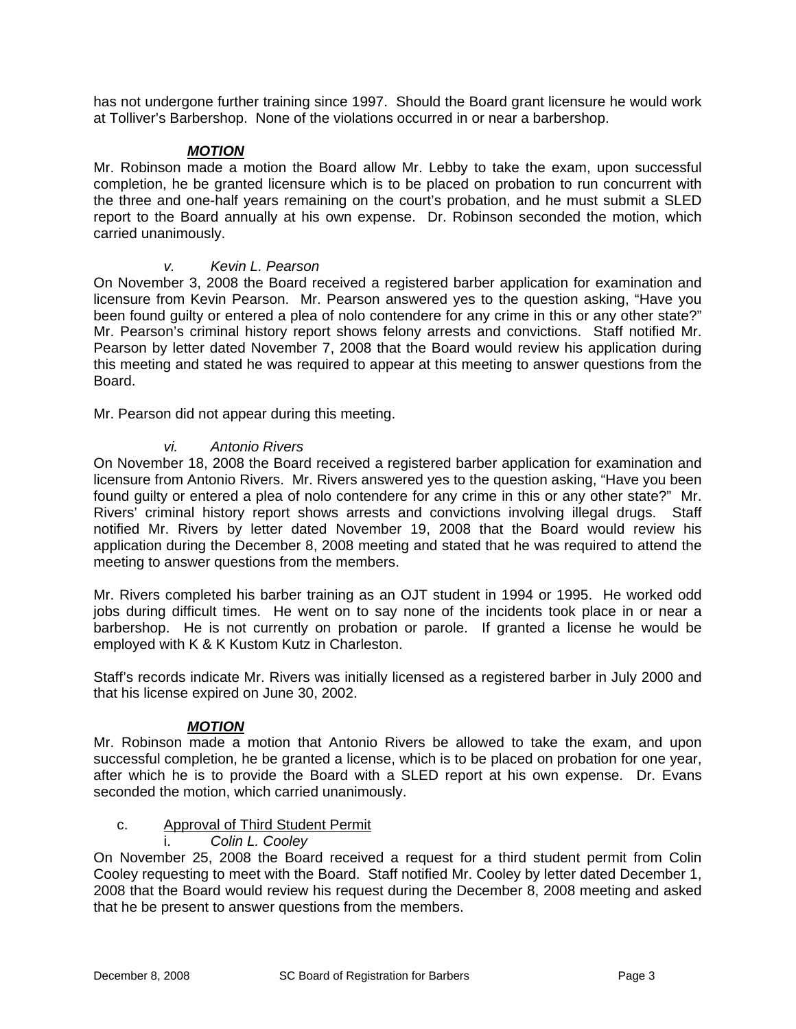has not undergone further training since 1997. Should the Board grant licensure he would work at Tolliver's Barbershop. None of the violations occurred in or near a barbershop.

### *MOTION*

Mr. Robinson made a motion the Board allow Mr. Lebby to take the exam, upon successful completion, he be granted licensure which is to be placed on probation to run concurrent with the three and one-half years remaining on the court's probation, and he must submit a SLED report to the Board annually at his own expense. Dr. Robinson seconded the motion, which carried unanimously.

### *v. Kevin L. Pearson*

On November 3, 2008 the Board received a registered barber application for examination and licensure from Kevin Pearson. Mr. Pearson answered yes to the question asking, "Have you been found guilty or entered a plea of nolo contendere for any crime in this or any other state?" Mr. Pearson's criminal history report shows felony arrests and convictions. Staff notified Mr. Pearson by letter dated November 7, 2008 that the Board would review his application during this meeting and stated he was required to appear at this meeting to answer questions from the Board.

Mr. Pearson did not appear during this meeting.

### *vi. Antonio Rivers*

On November 18, 2008 the Board received a registered barber application for examination and licensure from Antonio Rivers. Mr. Rivers answered yes to the question asking, "Have you been found guilty or entered a plea of nolo contendere for any crime in this or any other state?" Mr. Rivers' criminal history report shows arrests and convictions involving illegal drugs. Staff notified Mr. Rivers by letter dated November 19, 2008 that the Board would review his application during the December 8, 2008 meeting and stated that he was required to attend the meeting to answer questions from the members.

Mr. Rivers completed his barber training as an OJT student in 1994 or 1995. He worked odd jobs during difficult times. He went on to say none of the incidents took place in or near a barbershop. He is not currently on probation or parole. If granted a license he would be employed with K & K Kustom Kutz in Charleston.

Staff's records indicate Mr. Rivers was initially licensed as a registered barber in July 2000 and that his license expired on June 30, 2002.

## *MOTION*

Mr. Robinson made a motion that Antonio Rivers be allowed to take the exam, and upon successful completion, he be granted a license, which is to be placed on probation for one year, after which he is to provide the Board with a SLED report at his own expense. Dr. Evans seconded the motion, which carried unanimously.

## c. Approval of Third Student Permit

#### i. *Colin L. Cooley*

On November 25, 2008 the Board received a request for a third student permit from Colin Cooley requesting to meet with the Board. Staff notified Mr. Cooley by letter dated December 1, 2008 that the Board would review his request during the December 8, 2008 meeting and asked that he be present to answer questions from the members.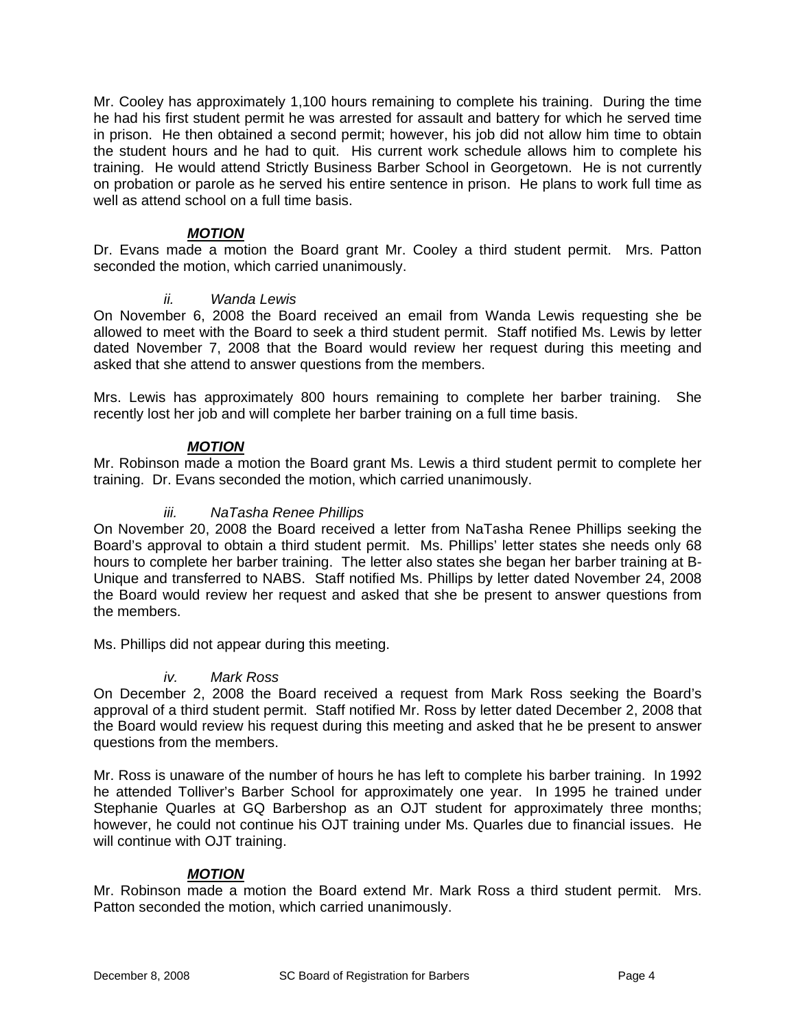Mr. Cooley has approximately 1,100 hours remaining to complete his training. During the time he had his first student permit he was arrested for assault and battery for which he served time in prison. He then obtained a second permit; however, his job did not allow him time to obtain the student hours and he had to quit. His current work schedule allows him to complete his training. He would attend Strictly Business Barber School in Georgetown. He is not currently on probation or parole as he served his entire sentence in prison. He plans to work full time as well as attend school on a full time basis.

## *MOTION*

Dr. Evans made a motion the Board grant Mr. Cooley a third student permit. Mrs. Patton seconded the motion, which carried unanimously.

### *ii. Wanda Lewis*

On November 6, 2008 the Board received an email from Wanda Lewis requesting she be allowed to meet with the Board to seek a third student permit. Staff notified Ms. Lewis by letter dated November 7, 2008 that the Board would review her request during this meeting and asked that she attend to answer questions from the members.

Mrs. Lewis has approximately 800 hours remaining to complete her barber training. She recently lost her job and will complete her barber training on a full time basis.

### *MOTION*

Mr. Robinson made a motion the Board grant Ms. Lewis a third student permit to complete her training. Dr. Evans seconded the motion, which carried unanimously.

### *iii. NaTasha Renee Phillips*

On November 20, 2008 the Board received a letter from NaTasha Renee Phillips seeking the Board's approval to obtain a third student permit. Ms. Phillips' letter states she needs only 68 hours to complete her barber training. The letter also states she began her barber training at B-Unique and transferred to NABS. Staff notified Ms. Phillips by letter dated November 24, 2008 the Board would review her request and asked that she be present to answer questions from the members.

Ms. Phillips did not appear during this meeting.

#### *iv. Mark Ross*

On December 2, 2008 the Board received a request from Mark Ross seeking the Board's approval of a third student permit. Staff notified Mr. Ross by letter dated December 2, 2008 that the Board would review his request during this meeting and asked that he be present to answer questions from the members.

Mr. Ross is unaware of the number of hours he has left to complete his barber training. In 1992 he attended Tolliver's Barber School for approximately one year. In 1995 he trained under Stephanie Quarles at GQ Barbershop as an OJT student for approximately three months; however, he could not continue his OJT training under Ms. Quarles due to financial issues. He will continue with OJT training.

## *MOTION*

Mr. Robinson made a motion the Board extend Mr. Mark Ross a third student permit. Mrs. Patton seconded the motion, which carried unanimously.